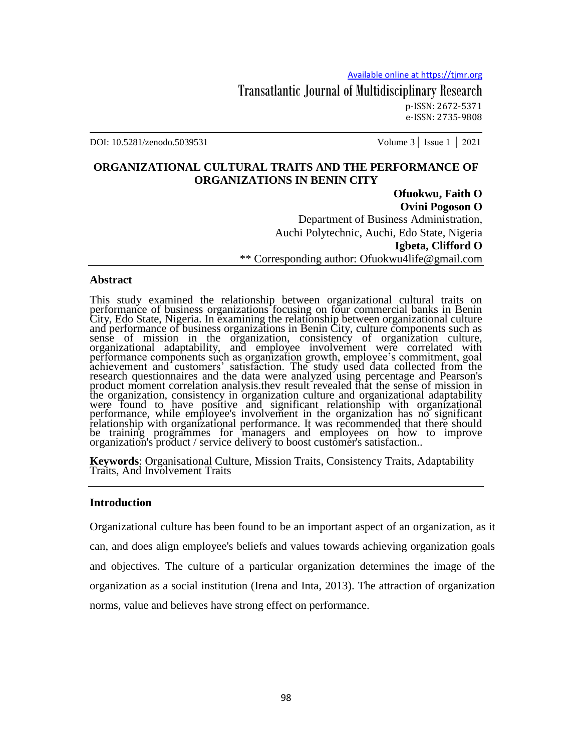Transatlantic Journal of Multidisciplinary Research p-ISSN: 2672-5371 e-ISSN: 2735-9808

DOI: 10.5281/zenodo.5039531 Volume 3│ Issue 1 │ 2021

# **ORGANIZATIONAL CULTURAL TRAITS AND THE PERFORMANCE OF ORGANIZATIONS IN BENIN CITY**

**Ofuokwu, Faith O Ovini Pogoson O** Department of Business Administration, Auchi Polytechnic, Auchi, Edo State, Nigeria **Igbeta, Clifford O** \*\* Corresponding author: Ofuokwu4life@gmail.com

#### **Abstract**

This study examined the relationship between organizational cultural traits on performance of business organizations focusing on four commercial banks in Benin City, Edo State, Nigeria. In examining the relationship between organizational culture and performance of business organizations in Benin City, culture components such as sense of mission in the organization, consistency of organization culture, organizational adaptability, and employee involvement were correlated with performance components such as organization growth, employee's commitment, goal achievement and customers' satisfaction. The study used data collected from the research questionnaires and the data were analyzed using percentage and Pearson's product moment correlation analysis.thev result revealed that the sense of mission in the organization, consistency in organization culture and organizational adaptability were found to have positive and significant relationship with organizational performance, while employee's involvement in the organization has no significant relationship with organizational performance. It was recommended that there should be training programmes for managers and employees on how to improve organization's product / service delivery to boost customer's satisfaction..

**Keywords**: Organisational Culture, Mission Traits, Consistency Traits, Adaptability Traits, And Involvement Traits

#### **Introduction**

Organizational culture has been found to be an important aspect of an organization, as it can, and does align employee's beliefs and values towards achieving organization goals and objectives. The culture of a particular organization determines the image of the organization as a social institution (Irena and Inta, 2013). The attraction of organization norms, value and believes have strong effect on performance.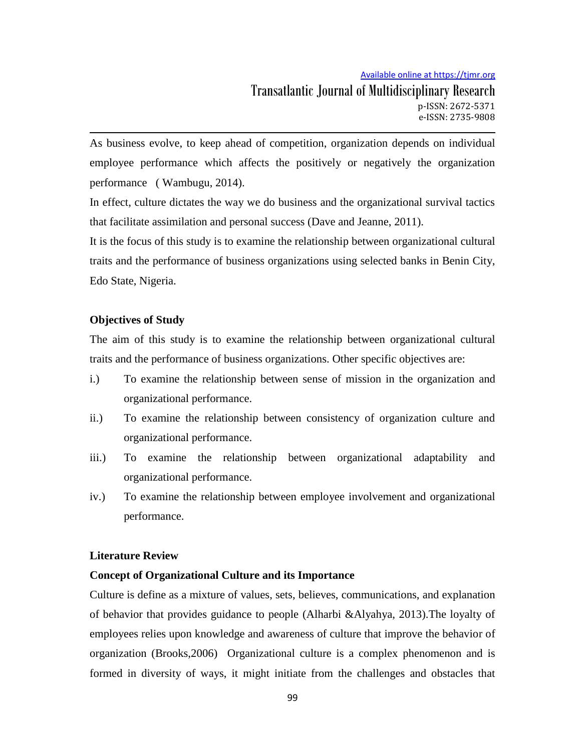As business evolve, to keep ahead of competition, organization depends on individual employee performance which affects the positively or negatively the organization performance ( Wambugu, 2014).

In effect, culture dictates the way we do business and the organizational survival tactics that facilitate assimilation and personal success (Dave and Jeanne, 2011).

It is the focus of this study is to examine the relationship between organizational cultural traits and the performance of business organizations using selected banks in Benin City, Edo State, Nigeria.

# **Objectives of Study**

The aim of this study is to examine the relationship between organizational cultural traits and the performance of business organizations. Other specific objectives are:

- i.) To examine the relationship between sense of mission in the organization and organizational performance.
- ii.) To examine the relationship between consistency of organization culture and organizational performance.
- iii.) To examine the relationship between organizational adaptability and organizational performance.
- iv.) To examine the relationship between employee involvement and organizational performance.

# **Literature Review**

# **Concept of Organizational Culture and its Importance**

Culture is define as a mixture of values, sets, believes, communications, and explanation of behavior that provides guidance to people (Alharbi &Alyahya, 2013).The loyalty of employees relies upon knowledge and awareness of culture that improve the behavior of organization (Brooks,2006) Organizational culture is a complex phenomenon and is formed in diversity of ways, it might initiate from the challenges and obstacles that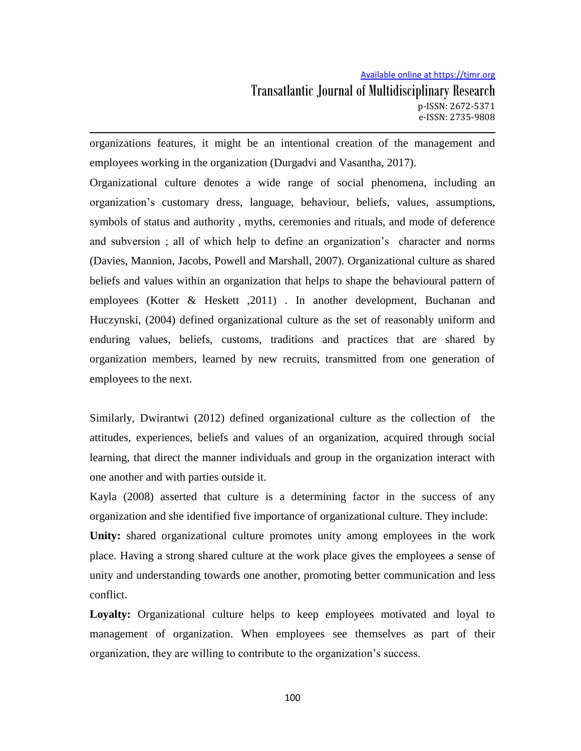organizations features, it might be an intentional creation of the management and employees working in the organization (Durgadvi and Vasantha, 2017).

Organizational culture denotes a wide range of social phenomena, including an organization's customary dress, language, behaviour, beliefs, values, assumptions, symbols of status and authority , myths, ceremonies and rituals, and mode of deference and subversion ; all of which help to define an organization's character and norms (Davies, Mannion, Jacobs, Powell and Marshall, 2007). Organizational culture as shared beliefs and values within an organization that helps to shape the behavioural pattern of employees (Kotter & Heskett ,2011) . In another development, Buchanan and Huczynski, (2004) defined organizational culture as the set of reasonably uniform and enduring values, beliefs, customs, traditions and practices that are shared by organization members, learned by new recruits, transmitted from one generation of employees to the next.

Similarly, Dwirantwi (2012) defined organizational culture as the collection of the attitudes, experiences, beliefs and values of an organization, acquired through social learning, that direct the manner individuals and group in the organization interact with one another and with parties outside it.

Kayla (2008) asserted that culture is a determining factor in the success of any organization and she identified five importance of organizational culture. They include: **Unity:** shared organizational culture promotes unity among employees in the work place. Having a strong shared culture at the work place gives the employees a sense of unity and understanding towards one another, promoting better communication and less conflict.

**Loyalty:** Organizational culture helps to keep employees motivated and loyal to management of organization. When employees see themselves as part of their organization, they are willing to contribute to the organization's success.

100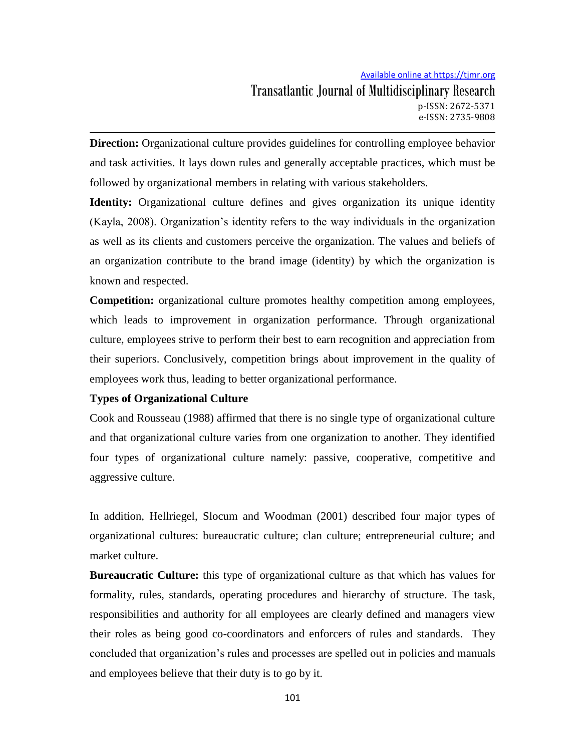**Direction:** Organizational culture provides guidelines for controlling employee behavior and task activities. It lays down rules and generally acceptable practices, which must be followed by organizational members in relating with various stakeholders.

**Identity:** Organizational culture defines and gives organization its unique identity (Kayla, 2008). Organization's identity refers to the way individuals in the organization as well as its clients and customers perceive the organization. The values and beliefs of an organization contribute to the brand image (identity) by which the organization is known and respected.

**Competition:** organizational culture promotes healthy competition among employees, which leads to improvement in organization performance. Through organizational culture, employees strive to perform their best to earn recognition and appreciation from their superiors. Conclusively, competition brings about improvement in the quality of employees work thus, leading to better organizational performance.

# **Types of Organizational Culture**

Cook and Rousseau (1988) affirmed that there is no single type of organizational culture and that organizational culture varies from one organization to another. They identified four types of organizational culture namely: passive, cooperative, competitive and aggressive culture.

In addition, Hellriegel, Slocum and Woodman (2001) described four major types of organizational cultures: bureaucratic culture; clan culture; entrepreneurial culture; and market culture.

**Bureaucratic Culture:** this type of organizational culture as that which has values for formality, rules, standards, operating procedures and hierarchy of structure. The task, responsibilities and authority for all employees are clearly defined and managers view their roles as being good co-coordinators and enforcers of rules and standards. They concluded that organization's rules and processes are spelled out in policies and manuals and employees believe that their duty is to go by it.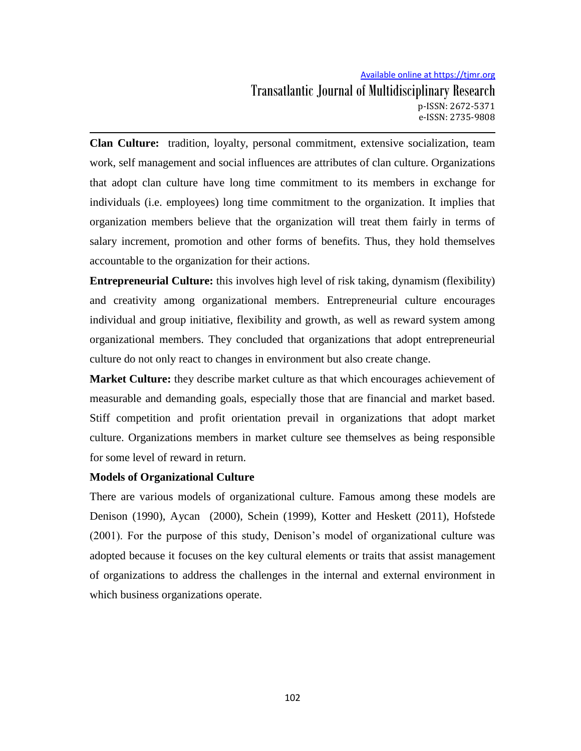# Available online at https://tjmr.org Transatlantic Journal of Multidisciplinary Research p-ISSN: 2672-5371 e-ISSN: 2735-9808

**Clan Culture:** tradition, loyalty, personal commitment, extensive socialization, team work, self management and social influences are attributes of clan culture. Organizations that adopt clan culture have long time commitment to its members in exchange for individuals (i.e. employees) long time commitment to the organization. It implies that organization members believe that the organization will treat them fairly in terms of salary increment, promotion and other forms of benefits. Thus, they hold themselves accountable to the organization for their actions.

**Entrepreneurial Culture:** this involves high level of risk taking, dynamism (flexibility) and creativity among organizational members. Entrepreneurial culture encourages individual and group initiative, flexibility and growth, as well as reward system among organizational members. They concluded that organizations that adopt entrepreneurial culture do not only react to changes in environment but also create change.

**Market Culture:** they describe market culture as that which encourages achievement of measurable and demanding goals, especially those that are financial and market based. Stiff competition and profit orientation prevail in organizations that adopt market culture. Organizations members in market culture see themselves as being responsible for some level of reward in return.

# **Models of Organizational Culture**

There are various models of organizational culture. Famous among these models are Denison (1990), Aycan (2000), Schein (1999), Kotter and Heskett (2011), Hofstede (2001). For the purpose of this study, Denison's model of organizational culture was adopted because it focuses on the key cultural elements or traits that assist management of organizations to address the challenges in the internal and external environment in which business organizations operate.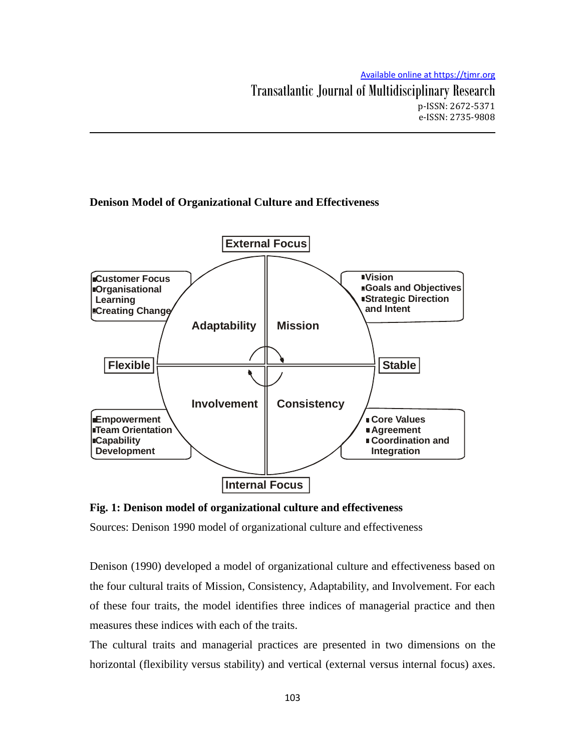# **Denison Model of Organizational Culture and Effectiveness**



**Fig. 1: Denison model of organizational culture and effectiveness** 

Sources: Denison 1990 model of organizational culture and effectiveness

Denison (1990) developed a model of organizational culture and effectiveness based on the four cultural traits of Mission, Consistency, Adaptability, and Involvement. For each of these four traits, the model identifies three indices of managerial practice and then measures these indices with each of the traits.

The cultural traits and managerial practices are presented in two dimensions on the horizontal (flexibility versus stability) and vertical (external versus internal focus) axes.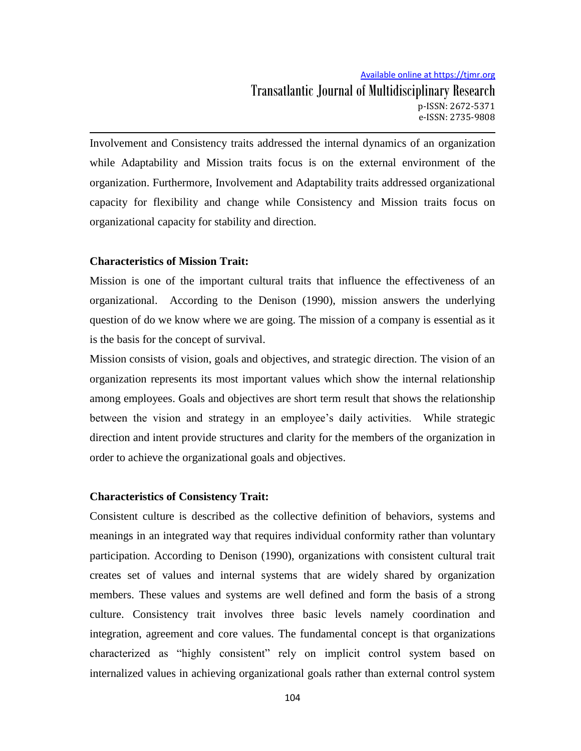Involvement and Consistency traits addressed the internal dynamics of an organization while Adaptability and Mission traits focus is on the external environment of the organization. Furthermore, Involvement and Adaptability traits addressed organizational capacity for flexibility and change while Consistency and Mission traits focus on organizational capacity for stability and direction.

### **Characteristics of Mission Trait:**

Mission is one of the important cultural traits that influence the effectiveness of an organizational. According to the Denison (1990), mission answers the underlying question of do we know where we are going. The mission of a company is essential as it is the basis for the concept of survival.

Mission consists of vision, goals and objectives, and strategic direction. The vision of an organization represents its most important values which show the internal relationship among employees. Goals and objectives are short term result that shows the relationship between the vision and strategy in an employee's daily activities. While strategic direction and intent provide structures and clarity for the members of the organization in order to achieve the organizational goals and objectives.

# **Characteristics of Consistency Trait:**

Consistent culture is described as the collective definition of behaviors, systems and meanings in an integrated way that requires individual conformity rather than voluntary participation. According to Denison (1990), organizations with consistent cultural trait creates set of values and internal systems that are widely shared by organization members. These values and systems are well defined and form the basis of a strong culture. Consistency trait involves three basic levels namely coordination and integration, agreement and core values. The fundamental concept is that organizations characterized as "highly consistent" rely on implicit control system based on internalized values in achieving organizational goals rather than external control system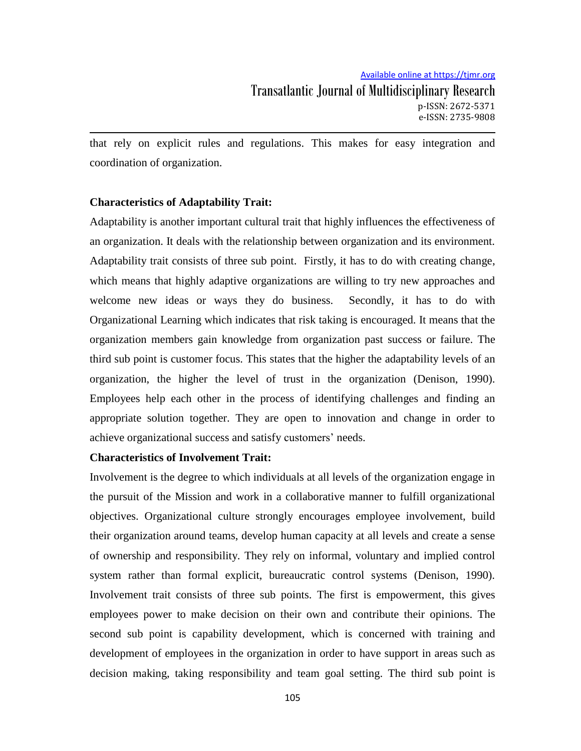that rely on explicit rules and regulations. This makes for easy integration and coordination of organization.

# **Characteristics of Adaptability Trait:**

Adaptability is another important cultural trait that highly influences the effectiveness of an organization. It deals with the relationship between organization and its environment. Adaptability trait consists of three sub point. Firstly, it has to do with creating change, which means that highly adaptive organizations are willing to try new approaches and welcome new ideas or ways they do business. Secondly, it has to do with Organizational Learning which indicates that risk taking is encouraged. It means that the organization members gain knowledge from organization past success or failure. The third sub point is customer focus. This states that the higher the adaptability levels of an organization, the higher the level of trust in the organization (Denison, 1990). Employees help each other in the process of identifying challenges and finding an appropriate solution together. They are open to innovation and change in order to achieve organizational success and satisfy customers' needs.

### **Characteristics of Involvement Trait:**

Involvement is the degree to which individuals at all levels of the organization engage in the pursuit of the Mission and work in a collaborative manner to fulfill organizational objectives. Organizational culture strongly encourages employee involvement, build their organization around teams, develop human capacity at all levels and create a sense of ownership and responsibility. They rely on informal, voluntary and implied control system rather than formal explicit, bureaucratic control systems (Denison, 1990). Involvement trait consists of three sub points. The first is empowerment, this gives employees power to make decision on their own and contribute their opinions. The second sub point is capability development, which is concerned with training and development of employees in the organization in order to have support in areas such as decision making, taking responsibility and team goal setting. The third sub point is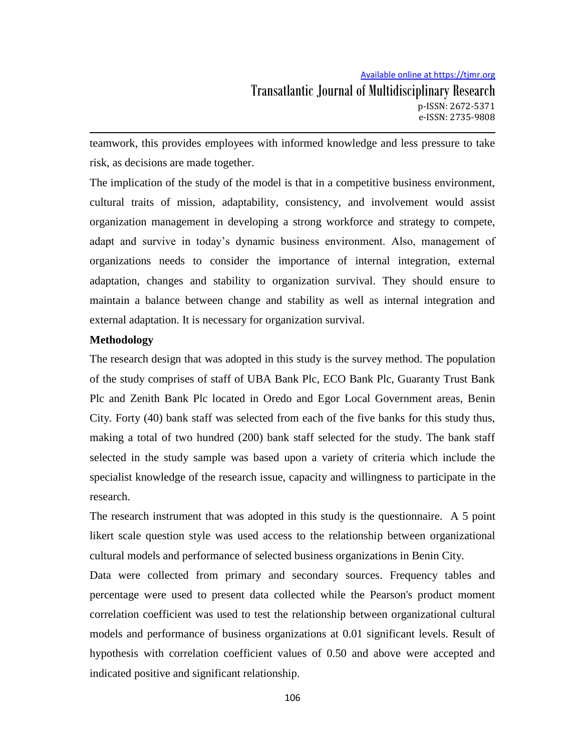teamwork, this provides employees with informed knowledge and less pressure to take risk, as decisions are made together.

The implication of the study of the model is that in a competitive business environment, cultural traits of mission, adaptability, consistency, and involvement would assist organization management in developing a strong workforce and strategy to compete, adapt and survive in today's dynamic business environment. Also, management of organizations needs to consider the importance of internal integration, external adaptation, changes and stability to organization survival. They should ensure to maintain a balance between change and stability as well as internal integration and external adaptation. It is necessary for organization survival.

# **Methodology**

The research design that was adopted in this study is the survey method. The population of the study comprises of staff of UBA Bank Plc, ECO Bank Plc, Guaranty Trust Bank Plc and Zenith Bank Plc located in Oredo and Egor Local Government areas, Benin City. Forty (40) bank staff was selected from each of the five banks for this study thus, making a total of two hundred (200) bank staff selected for the study. The bank staff selected in the study sample was based upon a variety of criteria which include the specialist knowledge of the research issue, capacity and willingness to participate in the research.

The research instrument that was adopted in this study is the questionnaire. A 5 point likert scale question style was used access to the relationship between organizational cultural models and performance of selected business organizations in Benin City.

Data were collected from primary and secondary sources. Frequency tables and percentage were used to present data collected while the Pearson's product moment correlation coefficient was used to test the relationship between organizational cultural models and performance of business organizations at 0.01 significant levels. Result of hypothesis with correlation coefficient values of 0.50 and above were accepted and indicated positive and significant relationship.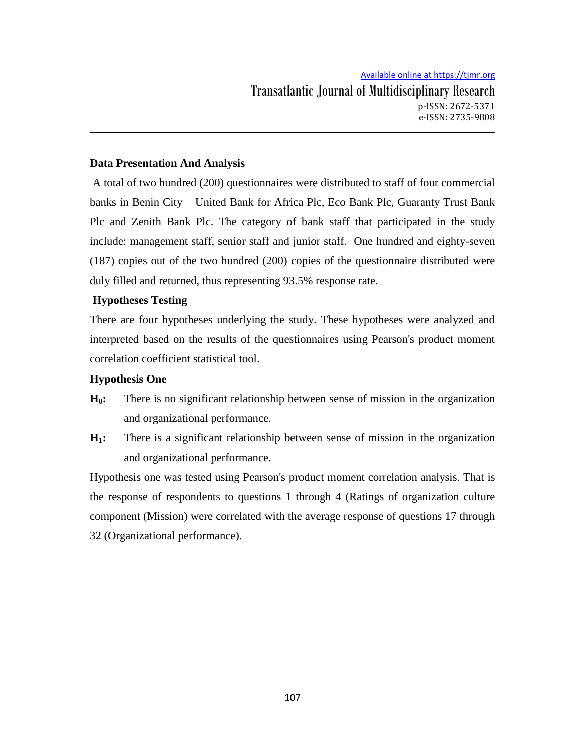# **Data Presentation And Analysis**

A total of two hundred (200) questionnaires were distributed to staff of four commercial banks in Benin City – United Bank for Africa Plc, Eco Bank Plc, Guaranty Trust Bank Plc and Zenith Bank Plc. The category of bank staff that participated in the study include: management staff, senior staff and junior staff. One hundred and eighty-seven (187) copies out of the two hundred (200) copies of the questionnaire distributed were duly filled and returned, thus representing 93.5% response rate.

# **Hypotheses Testing**

There are four hypotheses underlying the study. These hypotheses were analyzed and interpreted based on the results of the questionnaires using Pearson's product moment correlation coefficient statistical tool.

# **Hypothesis One**

- **H0:** There is no significant relationship between sense of mission in the organization and organizational performance.
- **H1:** There is a significant relationship between sense of mission in the organization and organizational performance.

Hypothesis one was tested using Pearson's product moment correlation analysis. That is the response of respondents to questions 1 through 4 (Ratings of organization culture component (Mission) were correlated with the average response of questions 17 through 32 (Organizational performance).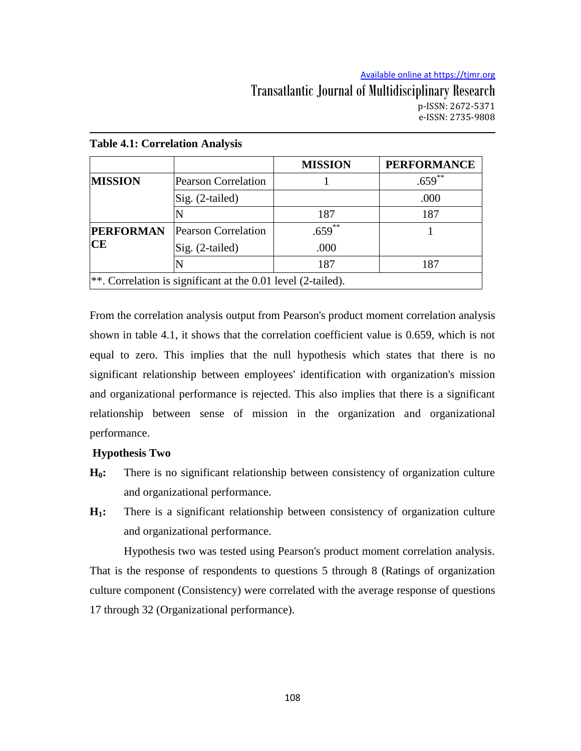# **Table 4.1: Correlation Analysis MISSION PERFORMANCE MISSION** Pearson Correlation 1 1 .659<sup>\*\*</sup>  $\text{Sig.}$  (2-tailed)  $\qquad \qquad \qquad$  .000 N 187 187 187 **PERFORMAN CE** Pearson Correlation  $\vert$  .659<sup>\*\*</sup>  $\vert$  1 Sig. (2-tailed)  $\qquad$  000 N 187 187 187 \*\*. Correlation is significant at the 0.01 level (2-tailed).

From the correlation analysis output from Pearson's product moment correlation analysis shown in table 4.1, it shows that the correlation coefficient value is 0.659, which is not equal to zero. This implies that the null hypothesis which states that there is no significant relationship between employees' identification with organization's mission and organizational performance is rejected. This also implies that there is a significant relationship between sense of mission in the organization and organizational performance.

# **Hypothesis Two**

- **H0:** There is no significant relationship between consistency of organization culture and organizational performance.
- **H1:** There is a significant relationship between consistency of organization culture and organizational performance.

Hypothesis two was tested using Pearson's product moment correlation analysis. That is the response of respondents to questions 5 through 8 (Ratings of organization culture component (Consistency) were correlated with the average response of questions 17 through 32 (Organizational performance).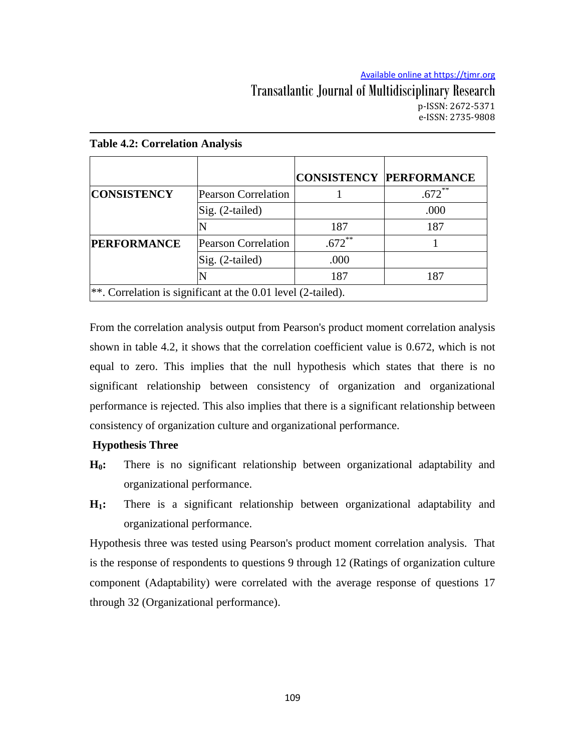|                                                                  |                            |          | <b>CONSISTENCY PERFORMANCE</b> |  |  |
|------------------------------------------------------------------|----------------------------|----------|--------------------------------|--|--|
| <b>CONSISTENCY</b>                                               | <b>Pearson Correlation</b> |          | $.672$ **                      |  |  |
|                                                                  | $Sig. (2-tailed)$          |          | .000                           |  |  |
|                                                                  |                            | 187      | 187                            |  |  |
| <b>PERFORMANCE</b>                                               | <b>Pearson Correlation</b> | $.672^*$ |                                |  |  |
|                                                                  | Sig. (2-tailed)            | .000     |                                |  |  |
|                                                                  |                            | 187      | 187                            |  |  |
| $ **$ . Correlation is significant at the 0.01 level (2-tailed). |                            |          |                                |  |  |

### **Table 4.2: Correlation Analysis**

From the correlation analysis output from Pearson's product moment correlation analysis shown in table 4.2, it shows that the correlation coefficient value is 0.672, which is not equal to zero. This implies that the null hypothesis which states that there is no significant relationship between consistency of organization and organizational performance is rejected. This also implies that there is a significant relationship between consistency of organization culture and organizational performance.

# **Hypothesis Three**

- **H0:** There is no significant relationship between organizational adaptability and organizational performance.
- **H1:** There is a significant relationship between organizational adaptability and organizational performance.

Hypothesis three was tested using Pearson's product moment correlation analysis. That is the response of respondents to questions 9 through 12 (Ratings of organization culture component (Adaptability) were correlated with the average response of questions 17 through 32 (Organizational performance).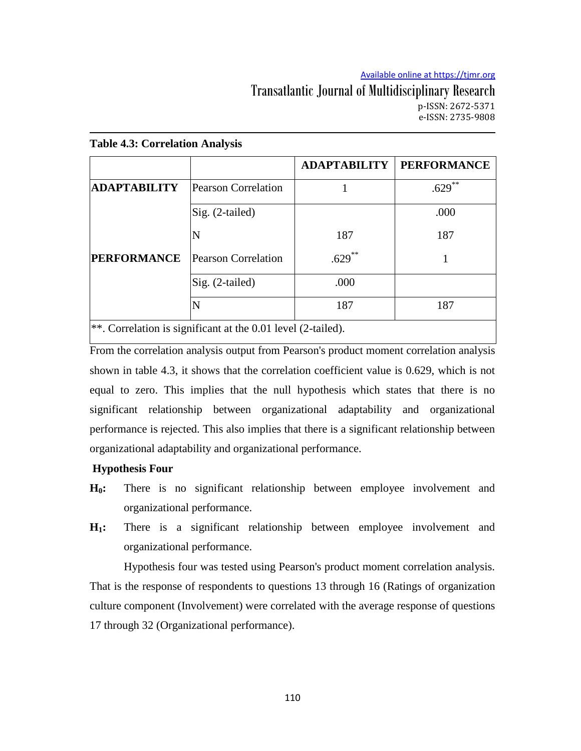|                     |                                                                 | <b>ADAPTABILITY</b> | <b>PERFORMANCE</b> |
|---------------------|-----------------------------------------------------------------|---------------------|--------------------|
| <b>ADAPTABILITY</b> | <b>Pearson Correlation</b>                                      |                     | **<br>.629         |
|                     | Sig. (2-tailed)                                                 |                     | .000               |
|                     | N                                                               | 187                 | 187                |
| <b>PERFORMANCE</b>  | Pearson Correlation                                             | $.629***$           |                    |
|                     | Sig. (2-tailed)                                                 | .000                |                    |
|                     |                                                                 | 187                 | 187                |
|                     | $\ast$ Correlation is significant at the 0.01 level (2 to iled) |                     |                    |

### **Table 4.3: Correlation Analysis**

 $\alpha$  orrelation is significant at the 0.01 level (2-tailed).

From the correlation analysis output from Pearson's product moment correlation analysis shown in table 4.3, it shows that the correlation coefficient value is 0.629, which is not equal to zero. This implies that the null hypothesis which states that there is no significant relationship between organizational adaptability and organizational performance is rejected. This also implies that there is a significant relationship between organizational adaptability and organizational performance.

# **Hypothesis Four**

- **H0:** There is no significant relationship between employee involvement and organizational performance.
- **H1:** There is a significant relationship between employee involvement and organizational performance.

Hypothesis four was tested using Pearson's product moment correlation analysis. That is the response of respondents to questions 13 through 16 (Ratings of organization culture component (Involvement) were correlated with the average response of questions 17 through 32 (Organizational performance).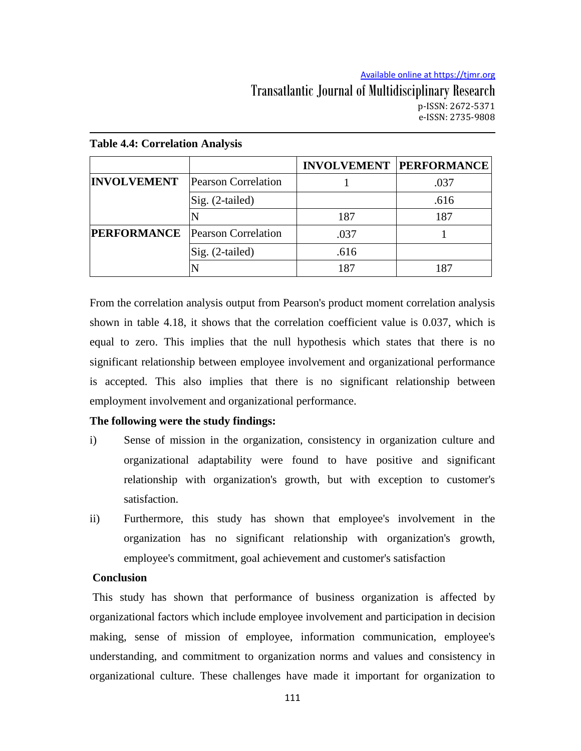|                                        |                            |      | <b>INVOLVEMENT PERFORMANCE</b> |
|----------------------------------------|----------------------------|------|--------------------------------|
| <b>INVOLVEMENT</b>                     | <b>Pearson Correlation</b> |      | .037                           |
|                                        | Sig. (2-tailed)            |      | .616                           |
|                                        |                            | 187  | 187                            |
| <b>PERFORMANCE</b> Pearson Correlation |                            | .037 |                                |
|                                        | Sig. (2-tailed)            | .616 |                                |
|                                        |                            | 187  | 187                            |

### **Table 4.4: Correlation Analysis**

From the correlation analysis output from Pearson's product moment correlation analysis shown in table 4.18, it shows that the correlation coefficient value is 0.037, which is equal to zero. This implies that the null hypothesis which states that there is no significant relationship between employee involvement and organizational performance is accepted. This also implies that there is no significant relationship between employment involvement and organizational performance.

# **The following were the study findings:**

- i) Sense of mission in the organization, consistency in organization culture and organizational adaptability were found to have positive and significant relationship with organization's growth, but with exception to customer's satisfaction.
- ii) Furthermore, this study has shown that employee's involvement in the organization has no significant relationship with organization's growth, employee's commitment, goal achievement and customer's satisfaction

## **Conclusion**

This study has shown that performance of business organization is affected by organizational factors which include employee involvement and participation in decision making, sense of mission of employee, information communication, employee's understanding, and commitment to organization norms and values and consistency in organizational culture. These challenges have made it important for organization to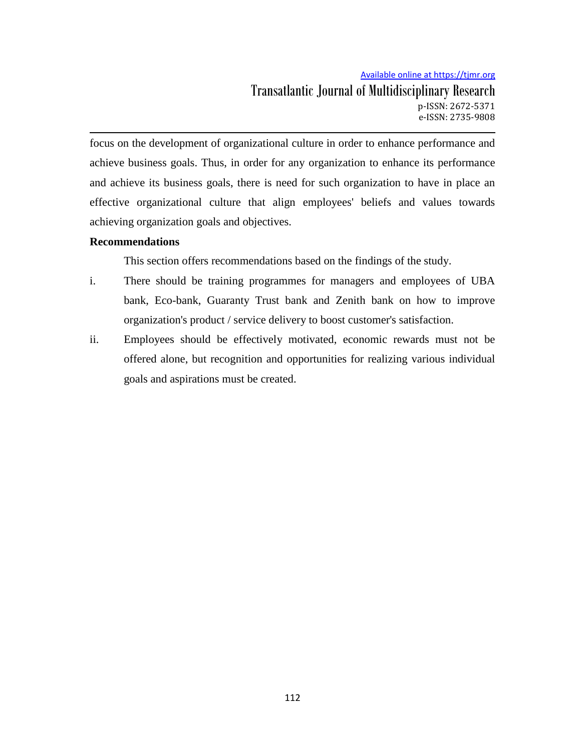# Available online at https://tjmr.org Transatlantic Journal of Multidisciplinary Research p-ISSN: 2672-5371 e-ISSN: 2735-9808

focus on the development of organizational culture in order to enhance performance and achieve business goals. Thus, in order for any organization to enhance its performance and achieve its business goals, there is need for such organization to have in place an effective organizational culture that align employees' beliefs and values towards achieving organization goals and objectives.

# **Recommendations**

This section offers recommendations based on the findings of the study.

- i. There should be training programmes for managers and employees of UBA bank, Eco-bank, Guaranty Trust bank and Zenith bank on how to improve organization's product / service delivery to boost customer's satisfaction.
- ii. Employees should be effectively motivated, economic rewards must not be offered alone, but recognition and opportunities for realizing various individual goals and aspirations must be created.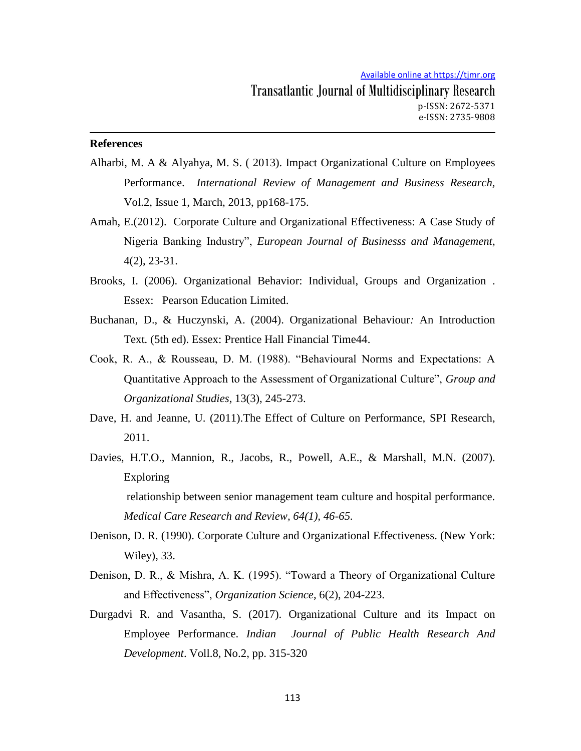# **References**

- Alharbi, M. A & Alyahya, M. S. ( 2013). Impact Organizational Culture on Employees Performance. *International Review of Management and Business Research,* Vol.2, Issue 1, March, 2013, pp168-175.
- Amah, E.(2012). Corporate Culture and Organizational Effectiveness: A Case Study of Nigeria Banking Industry", *European Journal of Businesss and Management*, 4(2), 23-31.
- Brooks, I. (2006). Organizational Behavior: Individual, Groups and Organization . Essex: Pearson Education Limited.
- Buchanan, D., & Huczynski, A. (2004). Organizational Behaviour*:* An Introduction Text*.* (5th ed). Essex: Prentice Hall Financial Time44.
- Cook, R. A., & Rousseau, D. M. (1988). "Behavioural Norms and Expectations: A Quantitative Approach to the Assessment of Organizational Culture", *Group and Organizational Studies*, 13(3), 245-273.
- Dave, H. and Jeanne, U. (2011).The Effect of Culture on Performance, SPI Research, 2011.
- Davies, H.T.O., Mannion, R., Jacobs, R., Powell, A.E., & Marshall, M.N. (2007). Exploring relationship between senior management team culture and hospital performance. *Medical Care Research and Review, 64(1), 46-65.*
- Denison, D. R. (1990). Corporate Culture and Organizational Effectiveness. (New York: Wiley), 33.
- Denison, D. R., & Mishra, A. K. (1995). "Toward a Theory of Organizational Culture and Effectiveness", *Organization Science*, 6(2), 204-223.
- Durgadvi R. and Vasantha, S. (2017). Organizational Culture and its Impact on Employee Performance. *Indian Journal of Public Health Research And Development*. Voll.8, No.2, pp. 315-320